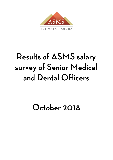

TOI MATA HAUORA

# **Results of ASMS salary** survey of Senior Medical and Dental Officers

## October 2018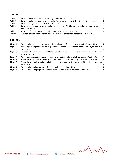## **TABLES**

| Table 1: |                                                                                           |  |
|----------|-------------------------------------------------------------------------------------------|--|
| Table 2: |                                                                                           |  |
| Table 3: |                                                                                           |  |
| Table 4: | Ranked average medical and dental officer salary per DHB including numbers of medical and |  |
|          |                                                                                           |  |
| Table 5: |                                                                                           |  |
| Table 6: | Numbers of medical and dental officers on each salary step by gender and DHB 2018 11      |  |

### **FIGURES**

| Figure 1: | Total numbers of specialists and medical and dental officers employed by DHBs 2006-20185         |
|-----------|--------------------------------------------------------------------------------------------------|
| Figure 2: | Percentage change in numbers of specialists and medical and dental officers employed by DHBs     |
|           |                                                                                                  |
| Figure 3: | Summary of national average full time equivalent salaries for specialists and medical and dental |
|           |                                                                                                  |
| Figure 4: | Percentage change in average specialist and medical and dental officer salary 2011-20187         |
| Figure 5: | Proportion of specialists and by gender on the top step of the salary scale from 2006-201812     |
| Figure 6: | Proportion of medical and dental officers and by gender on the top step of the salary scale from |
|           |                                                                                                  |
| Figure 7: |                                                                                                  |
| Figure 8: | Total number and proportion of medical and dental officers by gender 2006-2018 14                |

MMM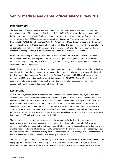#### **INTRODUCTION**

The Association of Salaried Medical Specialists (ASMS) has been recording the salaries of specialists and medical and dental officers working at District Health Boards (DHBs) throughout the country since 1993. Information is requested from DHBs about the number of senior medical and dental staff on each step of the salary scale as at 1 July 2018, whether they are ASMS members or not. The salary steps are those derived from the 2017 ASMS DHB Multi-Employer Collective Agreement (MECA). This survey reports on the current salary scales of the MECA that came into effect on 5 March 2018. The figures represent the number of people on each salary step rather than full-time equivalents (FTE) and do not take into account hours worked in excess of 40 hours per week, availability allowances and any other salary enhancements.

In addition to recording numbers of senior medical and dental staff per salary step, the survey requests a breakdown of these numbers by gender. This provides an insight into the gender composition of senior medical and dental staff by DHB, as well as allowing us to track changes in this regard since the data became available more than 10 years ago.

Finally, the survey requests information on the superannuation schemes currently used by senior medical and dental staff. There are three categories in this section; the number receiving an employer contribution under the Government Superannuation Fund (GSF) or the National Provident Fund (NPF) which closed to new members in 1992, the number receiving a contribution under the DHB MECA Clause 17.2 and those who receive an employer contribution in some other way. Due to incomplete data received, the results for superannuation will be reported on separately later in the year.

#### **KEY FINDINGS**

As at 1 July 2018, there were 4830 specialists and 468 medical and dental officers employed across New Zealand's DHBs, with a total senior medical workforce of 5298 people. These figures represent a 3% increase in specialist numbers and a 7% decrease in medical and dental officer numbers compared with the previous year. Of these, 2939 (60.8%) of specialists were male and 1891 (39.2%) were female. This represents a decrease in the number of male specialists of 0.6% and an increase in the number of female specialists of 9.1% compared with 2017. For medical and dental officers, 264 (56.4%) were male and 204 (43.6%) were female. This represents an increase in the number of male medical and dental officers of 1.5% and a decrease in the number of females of 16% compared with 2017.

The figures report an increase in the average specialist salary of 8.4%, due in part to a catch-up on the previous year when the average salary increase fell below the inflation rate. It also reflects the pattern of salary spikes that tend to occur in the first year of a new MECA. The survey figures also show a decrease in the average medical and dental officer salary of 1.1% compared with the previous year. This decrease may be due to some medical and dental officers moving on to the specialist salary scale, although due to the limitations of the data collection process, we are unable to interrogate this further.

The highest average salary for specialists was again recorded at Tairawhiti DHB (\$216,187 n=54), reflecting the high proportion of specialists on the top step (n=26) and the lowest at Waitemata DHB (\$202,391 n=437), reflecting the larger numbers of specialists at the DHB and their spread across the salary steps. The highest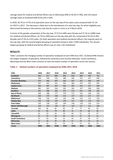average salary for medical and dental officers was at Wairarapa DHB (n=4) (\$177,706), with the lowest average salary at Auckland DHB (\$143,130 n=104).

In 2018, 36.7% (n=1775) of all specialists were on the top step of the salary scale compared with 41.1% (n=1927) in 2017. This decrease is likely due to the introduction of a new top step, for which eligibility was determined by being on the previous top step for a year or more as at 5 March 2018.

In terms of the gender composition of the top step, 27.9 % (n=495) were female and 72.1% (n=1280) male. For medical and dental officers, 42.7% (n=200) were on the top step with this comprised of 42.5% (n=85) females and 57.5% (n=115) males. For both specialists and medical and dental officers, the majority were on the top step, with the second largest grouping of specialists being on Step 7 (500 individuals). The second largest grouping of medical and dental officers was on step 1 (62 individuals).

#### **RESULTS**

Table 1 presents the changing number of specialists employed at each DHB since 2011. Auckland DHB remains the largest employer of specialists, followed by Canterbury and Counties Manukau. South Canterbury, Wairarapa and the West Coast continue to have the lowest number of specialists across the country.

| <b>DHB</b>                | 2018 | 2017 | 2016 | 2015 | 2014 | 2013 | 2012 | 2011 |
|---------------------------|------|------|------|------|------|------|------|------|
| <b>Auckland</b>           | 942  | 917  | 886  | 846  | 818  | 806  | 782  | 755  |
| Canterbury                | 540  | 540  | 510  | 488  | 462  | 415  | 427  | 440  |
| <b>Counties Manukau</b>   | 470  | 466  | 487  | 434  | 447  | 421  | 385  | 370  |
| Waitemata                 | 437  | 422  | 412  | 392  | 366  | 337  | 323  | 307  |
| <b>Capital Coast</b>      | 404  | 387  | 367  | 365  | 361  | 352  | 317  | 299  |
| Waikato                   | 381  | 365  | 356  | 345  | 341  | 327  | 306  | 284  |
| <b>Southern</b>           | 301  | 286  | 282  | 275  | 272  | 251  | 236  | 220  |
| <b>Bay of Plenty</b>      | 204  | 188  | 177  | 170  | 171  | 155  | 149  | 139  |
| <b>Northland</b>          | 164  | 173  | 160  | 152  | 127  | 122  | 117  | 117  |
| <b>MidCentral</b>         | 158  | 156  | 147  | 143  | 140  | 135  | 131  | 110  |
| <b>Hawkes Bay</b>         | 142  | 128  | 129  | 129  | 117  | 118  | 114  | 114  |
| <b>Hutt Valley</b>        | 142  | 136  | 135  | 144  | 130  | 124  | 124  | 123  |
| <b>Nelson-Marlborough</b> | 139  | 141  | 130  | 87   | 129  | 117  | 112  | 106  |
| <b>Taranaki</b>           | 101  | 85   | 82   | 83   | 75   | 77   | 64   | 59   |
| <b>Lakes</b>              | 92   | 85   | 78   | 83   | 75   | 79   | 66   | 69   |
| <b>Tairawhiti</b>         | 54   | 53   | 55   | 53   | 44   | 51   | 43   | 47   |
| Whanganui                 | 53   | 47   | 58   | 49   | 53   | 47   | 43   | 41   |
| <b>South Canterbury</b>   | 47   | 50   | 43   | 41   | 43   | 37   | 38   | 37   |
| Wairarapa                 | 32   | 33   | 35   | 26   | 27   | 24   | 23   | 24   |
| <b>West Coast</b>         | 27   | 33   | 31   | 32   | 32   | 27   | 26   | 24   |
| <b>Totals</b>             | 4830 | 4691 | 4560 | 4337 | 4230 | 4022 | 3826 | 3685 |

#### **Table 1: Ranked numbers of specialists employed by DHBs 2011-2018**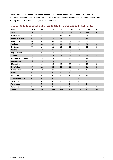Table 2 presents the changing numbers of medical and dental officers according to DHBs since 2011. Auckland, Waitemata and Counties Manukau have the largest numbers of medical and dental officers with Whanganui and Tairawhiti having the lowest numbers.

| <b>DHB</b>              | 2018           | 2017           | 2016           | 2015           | 2014           | 2013           | 2012           | 2011           |
|-------------------------|----------------|----------------|----------------|----------------|----------------|----------------|----------------|----------------|
| <b>Auckland</b>         | 104            | 121            | 122            | 113            | 118            | 110            | 116            | 107            |
| Waitemata               | 53             | 74             | 77             | 83             | 84             | 82             | 78             | 87             |
| <b>Counties Manukau</b> | 49             | 45             | 25             | 49             | 42             | 43             | 39             | 33             |
| Canterbury              | 43             | 62             | 64             | 64             | 64             | 60             | 52             | 65             |
| Waikato                 | 37             | 38             | 35             | 27             | 28             | 30             | 31             | 35             |
| <b>Northland</b>        | 25             | 13             | 11             | 10             | 30             | 31             | 31             | 35             |
| Southern                | 23             | 19             | 14             | 15             | 18             | 19             | 25             | 33             |
| <b>Bay of Plenty</b>    | 21             | 21             | 23             | 19             | 24             | 21             | 22             | 24             |
| <b>Taranaki</b>         | 19             | 22             | 19             | 16             | 15             | 16             | 25             | 25             |
| Nelson-Marlborough      | 17             | 18             | 18             | 22             | 21             | 27             | 29             | 33             |
| <b>Capital Coast</b>    | 15             | 13             | 14             | 16             | 16             | 15             | 13             | 9              |
| <b>MidCentral</b>       | 14             | 14             | 18             | 18             | 18             | 18             | 17             | 13             |
| <b>Hutt Valley</b>      | 13             | 11             | 11             | 11             | 11             | 10             | 10             | 12             |
| <b>Hawkes Bay</b>       | 10             | 10             | 11             | 11             | 10             | 9              | 12             | 11             |
| <b>Lakes</b>            | 6              | 3              | 5              | 3              | 3              | $\overline{2}$ | $\overline{7}$ | 8              |
| <b>West Coast</b>       | 6              | 5              | 6              | 5              | 8              | 10             | 12             | 11             |
| <b>South Canterbury</b> | $\overline{4}$ | 3              | $\overline{4}$ | 3              | $\overline{4}$ | 6              | $\overline{4}$ | 6              |
| Wairarapa               | 4              | 3              | $\Omega$       | 6              | 4              | 4              | 6              | 4              |
| Whanganui               | 3              | 6              | 5              | $\overline{4}$ | 5              | 3              | 3              | $\overline{4}$ |
| <b>Tairawhiti</b>       | $\overline{2}$ | $\overline{2}$ | 2              | 3              | 4              | 4              | 8              | 10             |
| <b>Totals</b>           | 468            | 503            | 484            | 498            | 527            | 520            | 540            | 565            |

#### **Table 2: Ranked numbers of medical and dental officers employed by DHBs 2011-2018**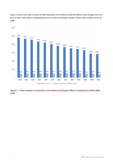Figure 1 shows how total numbers of both specialists and medical and dental officers have changed over the past 12 years, with Figure 2 displaying the year-on-year percentage change in these total numbers across all DHBs.



**Figure 1: Total numbers of specialists and medical and dental officers employed by DHBs 2006-**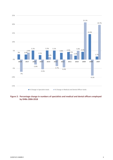

**Figure 2: Percentage change in numbers of specialists and medical and dental officers employed by DHBs 2006-2018**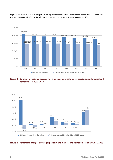

Figure 3 describes trends in average full time equivalent specialist and medical and dental officer salaries over the past six years, with Figure 4 exploring the percentage change in average salary from 2011.

#### **Figure 3: Summary of national average full time equivalent salaries for specialists and medical and dental officers 2011-2018**



#### **Figure 4: Percentage change in average specialist and medical and dental officer salary 2011-2018**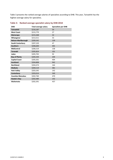Table 3 presents the ranked average salaries of specialists according to DHB. This year, Tairawhiti has the highest average salary for specialists.

| <b>DHB</b>              | <b>Total average salary</b> | <b>Specialists per DHB</b> |
|-------------------------|-----------------------------|----------------------------|
| <b>Tairawhiti</b>       | \$216,187                   | 54                         |
| <b>West Coast</b>       | \$215,770                   | 27                         |
| Wairarapa               | \$215,268                   | 32                         |
| Whanganui               | \$213,311                   | 53                         |
| Nelson-Marlborough      | \$209,342                   | 139                        |
| <b>South Canterbury</b> | \$207,220                   | 47                         |
| Southern                | \$206,640                   | 301                        |
| <b>MidCentral</b>       | \$206,519                   | 158                        |
| <b>Taranaki</b>         | \$205,824                   | 101                        |
| Lakes                   | \$205,702                   | 92                         |
| <b>Bay of Plenty</b>    | \$205,544                   | 204                        |
| <b>Capital Coast</b>    | \$205,501                   | 404                        |
| <b>Auckland</b>         | \$204,808                   | 942                        |
| <b>Northland</b>        | \$204,474                   | 164                        |
| Waikato                 | \$204,114                   | 381                        |
| <b>Hutt Valley</b>      | \$203,345                   | 142                        |
| Canterbury              | \$203,014                   | 540                        |
| <b>Counties Manukau</b> | \$202,760                   | 470                        |
| <b>Hawke's Bay</b>      | \$202,489                   | 142                        |
| Waitemata               | \$202,391                   | 437                        |

#### **Table 3: Ranked average specialist salary by DHB 2018**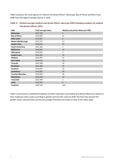Table 4 presents the same figures for medical and dental officers. Wairarapa, Bay of Plenty and West Coast DHBs have the highest average salaries in 2018.

| <b>DHB</b>              | <b>Total average salary</b> | Medical and dental officers per DHB |
|-------------------------|-----------------------------|-------------------------------------|
| Wairarapa               | \$177,706                   | $\overline{4}$                      |
| <b>Bay of Plenty</b>    | \$174,822                   | 21                                  |
| <b>West Coast</b>       | \$172,441                   | 6                                   |
| Nelson-Marlborough      | \$171,737                   | 17                                  |
| <b>Hawke's Bay</b>      | \$169,420                   | 10                                  |
| <b>South Canterbury</b> | \$167,483                   | 4                                   |
| <b>MidCentral</b>       | \$165,642                   | 14                                  |
| Whanganui               | \$165,635                   | 3                                   |
| <b>Capital Coast</b>    | \$165,562                   | 15                                  |
| Waikato                 | \$165,495                   | 37                                  |
| <b>Hutt Valley</b>      | \$164,574                   | 13                                  |
| <b>Taranaki</b>         | \$161,928                   | 19                                  |
| <b>Northland</b>        | \$161,388                   | 25                                  |
| <b>Southern</b>         | \$156,651                   | 23                                  |
| Canterbury              | \$155,663                   | 43                                  |
| <b>Counties Manukau</b> | \$154,503                   | 49                                  |
| Waitemata               | \$154,329                   | 53                                  |
| <b>Tairawhiti</b>       | \$152,448                   | 2                                   |
| Lakes                   | \$147,616                   | $\boldsymbol{6}$                    |
| <b>Auckland</b>         | \$143,130                   | 104                                 |

#### **Table 4: Ranked average medical and dental officer salary per DHB including numbers of medical and dental officers 2018**

Table 5 and 6 present a detailed breakdown of where specialists and medical and dental officers are placed on their respective salary scales according to gender and how this varies by DHB. The final rows present the gender totals, national totals and the percentage of females and males on each of the salary steps.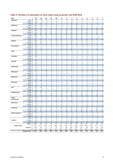| DHB                     |                         | 14         | 13                               | 12                      | 11                  | 10                  | 9                   | 8                              | $\overline{ }$       | 6                   | 5                       | 4                              | 3                     | 2                             | 1              |
|-------------------------|-------------------------|------------|----------------------------------|-------------------------|---------------------|---------------------|---------------------|--------------------------------|----------------------|---------------------|-------------------------|--------------------------------|-----------------------|-------------------------------|----------------|
| Northland               | Males                   | 34         | 8                                | 6                       | 6                   | 5                   | 7                   | 3                              | 8                    | 6                   | 5                       | 4                              | 5                     | 4                             | $\mathbf{1}$   |
|                         | Females                 | 18         | 5                                | $\overline{2}$          | 3                   | 4                   | 2                   | $\overline{2}$                 | 8                    | 6                   | $\overline{2}$          | 5                              | $\mathbf{1}$          | $\overline{2}$                | $\overline{2}$ |
|                         | <b>TOTAL</b>            | 52         | 13                               | 8                       | 9                   | 9                   | 9                   | 5                              | 16                   | 12                  | $\overline{7}$          | 9                              | 6                     | 6                             | 3              |
| Waitemata               | Males                   | 103        | 20                               | 16                      | 13                  | 10                  | 8                   | 6                              | 24                   | 10                  | 12                      | 9                              | 23                    | $\overline{7}$                | $\overline{7}$ |
|                         | Females<br><b>TOTAL</b> | 37         | 8                                | 5                       | 9                   | 9                   | 9                   | 5                              | 25                   | 14                  | 12                      | 9                              | 6                     | 9                             | 12             |
| Auckland                | Males                   | 140<br>249 | 28<br>26                         | 21<br>15                | 22<br>15            | 19<br>13            | 17<br>11            | 11<br>18                       | 49<br>54             | 24<br>29            | 24<br>18                | 18<br>13                       | 29<br>13              | 16<br>15                      | 19<br>14       |
|                         | Females                 | 113        | 22                               | 23                      | 25                  | 15                  | 23                  | 22                             | 56                   | 17                  | 30                      | 26                             | 23                    | 23                            | 21             |
|                         | <b>TOTAL</b>            | 362        | 48                               | 38                      | 40                  | 28                  | 34                  | 40                             | 110                  | 46                  | 48                      | 39                             | 36                    | 38                            | 35             |
| <b>Counties Manukau</b> | Males                   | 109        | 14                               | 13                      | 4                   | 11                  | 12                  | 11                             | 34                   | 15                  | 9                       | 11                             | $\overline{2}$        | $\overline{7}$                | 4              |
|                         | Females                 | 46         | $\overline{4}$                   | 8                       | 7                   | 12                  | 13                  | 6                              | 43                   | 19                  | 20                      | 7                              | 12                    | 8                             | 9              |
|                         | <b>TOTAL</b>            | 155        | 18                               | 21                      | 11                  | 23                  | 25                  | 17                             | 77                   | 34                  | 29                      | 18                             | 14                    | 15                            | 13             |
| Waikato                 | Males                   | 109        | 11                               | 11                      | 11                  | 14                  | 15                  | 9                              | 26                   | 8                   | 12                      | 12                             | 14                    | 7                             | 7              |
|                         | Females                 | 22         | 10                               | 3                       | 9                   | 5                   | 8                   | 7                              | 18                   | 8                   | 6                       | 3                              | 5                     | 4                             | $\overline{7}$ |
|                         | <b>TOTAL</b>            | 131        | 21                               | 14                      | 20                  | 19                  | 23                  | 16                             | 44                   | 16                  | 18                      | 15                             | 19                    | 11                            | 14             |
| <b>Bay of Plenty</b>    | Males                   | 69         | $\overline{7}$                   | $\overline{2}$          | 4                   | 3                   | 8                   | 6                              | 9                    | 5                   | 6                       | 4                              | 3                     | 4                             | $\mathbf{1}$   |
|                         | Females                 | 14         | $\overline{4}$                   | $\overline{2}$          | $\mathbf{1}$        | $\mathbf 1$         | 6                   | 8                              | 11                   | $\overline{2}$      | 5                       | $\overline{7}$                 | $\overline{2}$        | 8                             | $\overline{2}$ |
|                         | <b>TOTAL</b>            | 83         | 11                               | $\overline{4}$          | 5                   | $\overline{4}$      | 14                  | 14                             | 20                   | $\overline{7}$      | 11                      | 11                             | 5                     | 12                            | 3              |
| Lakes                   | Males                   | 29<br>10   | 6                                | $\overline{2}$<br>$1\,$ | $1\,$<br>0          | $\overline{2}$      | $\overline{2}$      | 3                              | 4<br>3               | 3<br>$\overline{2}$ | $\mathbf 1$<br>3        | 3<br>4                         | 0                     | $\mathbf{1}$<br>$\mathbf{1}$  | 3<br>4         |
|                         | Females<br><b>TOTAL</b> | 39         | $\mathbf{1}$<br>$\overline{7}$   | 3                       | $\mathbf{1}$        | 0<br>$\overline{2}$ | $\mathbf{1}$<br>3   | $\mathbf{1}$<br>$\overline{a}$ | $\overline{7}$       | 5                   | $\overline{\mathbf{4}}$ | $\overline{7}$                 | $\mathbf{1}$<br>$1\,$ | $\overline{2}$                | $\overline{7}$ |
| Tairawhiti              | Males                   | 20         | 3                                | 0                       | 4                   | 3                   | 5                   | 3                              | 0                    | $\mathbf{1}$        | 0                       | $\pmb{0}$                      | 0                     | 0                             | 0              |
|                         | Females                 | 6          | $\mathbf{1}$                     | 0                       | $\overline{2}$      | $\overline{2}$      | $\overline{2}$      | $\mathbf{1}$                   | 0                    | 0                   | $\mathbf 1$             | 0                              | 0                     | 0                             | 0              |
|                         | <b>TOTAL</b>            | 26         | $\overline{4}$                   | $\mathbf 0$             | 6                   | 5                   | $\overline{7}$      | $\overline{a}$                 | $\mathbf{0}$         | $\mathbf{1}$        | $\mathbf 1$             | $\mathbf 0$                    | 0                     | $\mathbf 0$                   | 0              |
| Taranaki                | Males                   | 27         | 6                                | $\overline{4}$          | 3                   | 3                   | $\overline{2}$      | 5                              | $\overline{7}$       | $\overline{2}$      | $1\,$                   | $\overline{2}$                 | $\mathbf{1}$          | $\overline{2}$                | $\mathbf{1}$   |
|                         | Females                 | 10         | 0                                | $\overline{2}$          | 0                   | $\mathbf{1}$        | 3                   | 3                              | 4                    | 0                   | 4                       | $\overline{2}$                 | 3                     | $\overline{2}$                | $\mathbf 1$    |
|                         | <b>TOTAL</b>            | 37         | 6                                | 6                       | 3                   | $\overline{4}$      | 5                   | 8                              | 11                   | $\overline{2}$      | 5                       | $\overline{4}$                 | $\overline{4}$        | $\overline{a}$                | $\overline{2}$ |
| <b>Hawkes Bay</b>       | Males                   | 43         | $\overline{4}$                   | 7                       | 3                   | 5                   | $\mathbf{1}$        | $\overline{7}$                 | 9                    | 5                   | $\mathbf 1$             | $1\,$                          | $\overline{7}$        | 5                             | 3              |
|                         | Females                 | 6          | 0                                | 3                       | 0                   | 3                   | $\mathbf{1}$        | 4                              | 6                    | $\overline{2}$      | 5                       | $\overline{4}$                 | 3                     | $\overline{2}$                | $\overline{2}$ |
|                         | <b>TOTAL</b>            | 49         | $\overline{4}$                   | 10                      | 3                   | 8                   | $\overline{2}$      | 11                             | 15                   | $\overline{7}$      | 6                       | 5                              | 10                    | $\overline{7}$                | 5              |
| Whanganui               | Males                   | 22         | 3                                | 6                       | 0                   | $\overline{2}$      | 0                   | $\mathbf{1}$                   | $\mathbf{1}$         | $\overline{2}$      | 0                       | 0                              | $\overline{2}$        | 0                             | 0              |
|                         | Females                 | 3          | $\overline{2}$                   | 0                       | $1\,$               | $\mathbf 1$         | 0                   | 0                              | 1                    | $\overline{2}$      | $\mathbf{1}$            | $\mathbf 1$                    | $\mathbf 1$           | $\mathbf{1}$                  | 0              |
| MidCentral              | <b>TOTAL</b><br>Males   | 25<br>6    | 5<br>8                           | 6<br>3                  | $\mathbf{1}$<br>2   | 3<br>$\mathbf{1}$   | 0<br>5              | $\mathbf{1}$<br>4              | $\overline{2}$<br>11 | $\overline{4}$<br>6 | $\mathbf{1}$<br>5       | $1\,$<br>4                     | 3<br>4                | $\mathbf{1}$<br>3             | $\pmb{0}$<br>5 |
|                         | Females                 | 56         | 6                                | $\overline{2}$          | 3                   | 3                   | 0                   | 4                              | 8                    | $\mathbf{1}$        | 4                       | $\mathbf 1$                    | $\mathbf{1}$          | 0                             | $\overline{2}$ |
|                         | <b>TOTAL</b>            | 62         | 14                               | 5                       | 5                   | $\overline{4}$      | 5                   | 8                              | 19                   | $\overline{7}$      | 9                       | 5                              | 5                     | $\overline{3}$                | $\overline{7}$ |
| Wairarapa               | Males                   | 16         | $\overline{2}$                   | 0                       | 0                   | 0                   | $\mathbf{1}$        | 0                              | $\mathbf{1}$         | 0                   | $\overline{2}$          | 0                              | $\mathbf{1}$          | $\mathbf 1$                   | 0              |
|                         | Females                 | 4          | 0                                | 0                       | 0                   | $1\,$               | $\mathbf{1}$        | 0                              | $1\,$                | 0                   | 1                       | 0                              | 0                     | 0                             | 0              |
|                         | <b>TOTAL</b>            | 20         | $\overline{2}$                   | $\mathbf 0$             | $\mathbf 0$         | $\mathbf{1}$        | $\overline{2}$      | $\mathbf{0}$                   | $\overline{2}$       | 0                   | 3                       | $\mathbf 0$                    | $\mathbf{1}$          | $\mathbf{1}$                  | $\pmb{0}$      |
| Hutt                    | Males                   | 32         | 10                               | 3                       | 4                   | 6                   | $\mathbf{1}$        | 3                              | $\overline{4}$       | 6                   | $\overline{2}$          | 5                              | 5                     | 5                             | 0              |
|                         | Females                 | 14         | $\overline{2}$                   | 4                       | 3                   | 5                   | $\overline{2}$      | 0                              | $\overline{4}$       | $\overline{2}$      | 5                       | 3                              | 6                     | 3                             | 3              |
|                         | <b>TOTAL</b>            | 46         | 12                               | $\overline{7}$          | $\overline{7}$      | 11                  | 3                   | 3                              | 8                    | 8                   | $\overline{7}$          | 8                              | 11                    | 8                             | 3              |
| Capital & Coast         | Males                   | 105        | 18                               | 15                      | $\overline{4}$      | 11                  | 10                  | 10                             | 16                   | 24                  | 12                      | 4                              | 16                    | 3                             | 4              |
|                         | Females                 | 45         | 5                                | 6<br>21                 | 13<br>17            | 8                   | 9<br>19             | $\overline{7}$<br>17           | 10                   | 9<br>33             | 12                      | 8<br>12                        | 6<br>22               | 10                            | 4              |
| Nelson                  | <b>TOTAL</b><br>Males   | 150<br>50  | 23<br>5                          | 3                       | 3                   | 19<br>8             | 5                   | 0                              | 26<br>8              | 5                   | 24<br>$\overline{2}$    | 3                              | 2                     | 13<br>0                       | 8<br>0         |
| Marlborough             | Females                 | 13         | 3                                | 0                       | 0                   | $\overline{2}$      | 6                   | 0                              | 8                    | 0                   | 4                       | $\mathbf{1}$                   | $\overline{2}$        | 3                             | 3              |
|                         | <b>TOTAL</b>            | 63         | 8                                | 3                       | 3                   | 10                  | 11                  | $\mathbf{0}$                   | 16                   | 5                   | 6                       | 4                              | $\overline{4}$        | $\overline{3}$                | 3              |
| <b>West Coast</b>       | Males                   | $11\,$     | $\mathbf{1}$                     | $\overline{\mathbf{c}}$ | $\mathbf 1$         | 0                   | 0                   | $\overline{2}$                 | $\mathbf{1}$         | 2                   | 0                       | 0                              | 0                     | 0                             | $\mathbf 0$    |
|                         | Females                 | 3          | $\mathbf{1}$                     | 0                       | $\mathbf{1}$        | 0                   | 0                   | 0                              | $\mathbf{1}$         | 0                   | $\mathbf{1}$            | 0                              | 0                     | 0                             | 0              |
|                         | <b>TOTAL</b>            | 14         | $2^{\circ}$                      | $\overline{2}$          | $2^{\circ}$         | $\mathbf{0}$        | $\mathbf 0$         | $\overline{2}$                 | $\overline{2}$       | $\overline{2}$      | $\mathbf{1}$            | $\mathbf 0$                    | $\mathbf{0}$          | $\mathbf{0}$                  | $\mathbf 0$    |
| Canterbury              | Males                   | 141        | 27                               | 8                       | 11                  | 9                   | 15                  | 13                             | 32                   | 19                  | 25                      | 19                             | 5                     | 11                            | 5              |
|                         | Females                 | 38         | 15                               | 6                       | 10                  | 4                   | 3                   | 15                             | 43                   | 10                  | 12                      | 13                             | 11                    | 10                            | 10             |
|                         | <b>TOTAL</b>            | 179        | 42                               | 14                      | 21                  | 13                  | 18                  | 28                             | 75                   | 29                  | 37                      | 32                             | 16                    | 21                            | 15             |
| <b>South Canterbury</b> | Males                   | 15         | 5                                | $\mathbf{1}$            | $\overline{2}$      | 0                   | $\overline{2}$      | 0                              | $\overline{2}$       | 0                   | $\overline{2}$          | 0                              | $\overline{2}$        | 0                             | $\mathbf{1}$   |
|                         | Females                 | 5          | $\mathbf{1}$<br>$\boldsymbol{6}$ | 0                       | 0                   | 0<br>$\mathbf{0}$   | 0<br>$\overline{2}$ | 0<br>$\mathbf{0}$              | $\mathbf{1}$         | $\mathbf 1$         | $\overline{2}$          | $\mathbf 1$                    | 0<br>$2^{\circ}$      | $\overline{2}$<br>$2^{\circ}$ | $\overline{2}$ |
|                         | <b>TOTAL</b><br>Males   | 20<br>90   | 10                               | $\mathbf{1}$<br>12      | $\overline{2}$<br>6 | 10                  | $\overline{2}$      | 8                              | 3<br>14              | $\mathbf{1}$<br>10  | $\overline{a}$<br>3     | $\mathbf{1}$<br>$\overline{7}$ | 7                     | 9                             | 3<br>5         |
| Southern                | Females                 | 32         | 5                                | 8                       | 5                   | 5                   | 4                   | 3                              | 14                   | 8                   | $\overline{7}$          | 3                              | 5                     | 4                             | 5              |
|                         | <b>TOTAL</b>            | 122        | 15                               | 20                      | 11                  | 15                  | 6                   | 11                             | 28                   | 18                  | 10                      | 10                             | 12                    | 13                            | 10             |
|                         | Males n                 | 1,280      | 194                              | 129                     | 97                  | 116                 | 112                 | 112                            | 265                  | 158                 | 118                     | 101                            | 112                   | 84                            | 61             |
| <b>Gender Totals</b>    | $\%$                    | 72.1       | 67.1                             | 63.2                    | 51.3                | 58.9                | 54.6                | 56.0                           | 50.0                 | 60.5                | 46.3                    | 50.8                           | 56.0                  | 47.7                          | 40.7           |
|                         | Females n               | 495        | 95                               | 75                      | 92                  | 81                  | 93                  | 88                             | 265                  | 103                 | 137                     | 98                             | 88                    | 92                            | 89             |
|                         | %                       | 27.9       | 32.9                             | 36.8                    | 48.7                | 41.1                | 45.4                | 44.0                           | 50.0                 | 39.5                | 53.7                    | 49.2                           | 44.0                  | 52.3                          | 59.3           |
|                         | <b>National Total</b>   | 1,775      | 289                              | 204                     | 189                 | 197                 | 205                 | 200                            | 530                  | 261                 | 255                     | 199                            | 200                   | 176                           | 150            |

## **Table 5: Numbers of specialists on each salary step by gender and DHB 2018**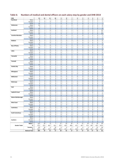| DHB                       |                            | 13                           | 12                          | 11                | 10                | 9                                | 8                     | $\overline{ }$      | 6                        | 5                 | 4                             | 3                            | $\mathbf{2}$        | 1                   |
|---------------------------|----------------------------|------------------------------|-----------------------------|-------------------|-------------------|----------------------------------|-----------------------|---------------------|--------------------------|-------------------|-------------------------------|------------------------------|---------------------|---------------------|
| Northland                 | Males                      | 8                            | $\mathbf 1$                 | $1\,$             | 0                 | 0                                | 0                     | $\mathbf 0$         | $\mathbf{1}$             | 0                 | $\overline{2}$                | 0                            | 0                   | 0                   |
|                           | Females                    | 6                            | $\mathsf 0$                 | 0                 | $\mathbf{1}$      | 0                                | 0                     | 0                   | $\mathbf 1$              | 0                 | $\mathbf{1}$                  | $\mathbf{1}$                 | $\mathbf{1}$        | $1\,$               |
|                           | <b>TOTAL</b>               | 14                           | $\mathbf 1$                 | $\mathbf{1}$      | $\mathbf{1}$      | $\mathbf 0$                      | $\mathbf 0$           | $\mathbf{0}$        | $\overline{2}$           | $\mathbf 0$       | $\overline{3}$                | $\mathbf{1}$                 | $\mathbf{1}$        | $\mathbf{1}$        |
| Waitemata                 | Males                      | 24                           | $\mathbf{1}$                | $\mathbf{1}$      | 0                 | $\mathbf{1}$                     | $\overline{2}$        | 0                   | $\overline{2}$           | $\overline{2}$    | $\mathbf{1}$                  | 3                            | 4                   | 8                   |
|                           | Females                    | 0                            | 0                           | $\mathbf{1}$      | 0                 | 0                                | $1\,$                 | $\mathbf{1}$        | $\mathbf 1$              | 0                 | 0                             | $\pmb{0}$                    | 0                   | 0                   |
|                           | <b>TOTAL</b>               | 24                           | $\mathbf 1$                 | $\overline{2}$    | $\mathbf 0$       | $1\,$                            | 3                     | $\mathbf{1}$        | 3                        | $\overline{2}$    | $1\,$                         | $\overline{3}$               | 4                   | 8                   |
| Auckland                  | Males<br>Females           | 17<br>15                     | $\mathbf{1}$<br>$\mathbf 1$ | 0<br>$\mathbf{1}$ | 0<br>0            | $\overline{2}$<br>$\overline{2}$ | $1\,$<br>$\mathbf{1}$ | 2<br>$\mathbf{1}$   | 0<br>3                   | 0<br>0            | $\overline{2}$<br>$\mathbf 1$ | 3<br>3                       | $\overline{2}$<br>6 | 20<br>20            |
|                           | <b>TOTAL</b>               | 32                           | $\overline{2}$              | $1\,$             | $\pmb{0}$         | $\overline{4}$                   | $\overline{2}$        | 3                   | 3                        | $\mathbf 0$       | 3                             | 6                            | 8                   | 40                  |
| <b>Counties Manukau</b>   | Males                      | 7                            | 3                           | 3                 | $\mathbf{1}$      | 3                                | 0                     | 3                   | 3                        | 8                 | $\mathbf{1}$                  | $\overline{2}$               | 0                   | $\mathbf{1}$        |
|                           | Females                    | 5                            | $\mathbf{1}$                | 0                 | $\overline{2}$    | $\mathbf{1}$                     | $\mathbf{1}$          | $1\,$               | 0                        | $\mathbf{1}$      | 0                             | $\mathbf{1}$                 | 0                   | $\mathbf{1}$        |
|                           | <b>TOTAL</b>               | 12                           | $\overline{4}$              | 3                 | 3                 | $\overline{4}$                   | $\mathbf{1}$          | $\overline{4}$      | 3                        | 9                 | $1\,$                         | $\overline{3}$               | $\mathbf 0$         | $\overline{2}$      |
| Waikato                   | Males                      | 9                            | 3                           | $\mathbf{1}$      | $\overline{2}$    | $\overline{2}$                   | $\overline{2}$        | 3                   | 0                        | 0                 | $\mathbf{1}$                  | 0                            | 0                   | 0                   |
|                           | Females                    | 5                            | 3                           | 0                 | $\mathbf{1}$      | 3                                | $\mathbf{1}$          | $\mathbf{1}$        | 0                        | 0                 | 0                             | 0                            | 0                   | 0                   |
|                           | <b>TOTAL</b>               | 14                           | 6                           | $\mathbf{1}$      | 3                 | 5                                | 3                     | $\overline{a}$      | $\mathbf 0$              | $\mathbf 0$       | $\mathbf{1}$                  | $\mathbf 0$                  | $\mathbf 0$         | 0                   |
| <b>Bay of Plenty</b>      | Males                      | $\overline{7}$               | $\pmb{0}$                   | 0                 | 0                 | $\mathbf{1}$                     | 0                     | 0                   | $\pmb{0}$                | 0                 | 0                             | 0                            | 0                   | 0                   |
|                           | Females                    | 10                           | $\mathbf{1}$                | 0                 | $\overline{2}$    | 0                                | 0                     | 0                   | 0                        | 0                 | 0                             | 0                            | 0                   | 0                   |
|                           | <b>TOTAL</b>               | 17                           | $\mathbf{1}$                | $\mathbf 0$       | $\overline{2}$    | $\mathbf{1}$                     | $\mathbf 0$           | $\mathbf 0$         | $\mathbf 0$              | $\mathbf 0$       | $\mathbf 0$                   | $\mathbf{0}$                 | $\mathbf 0$         | 0                   |
| Lakes                     | Males                      | $\mathbf{1}$                 | $\pmb{0}$                   | 0                 | 0                 | 0                                | 0                     | 0                   | $\pmb{0}$                | 0                 | 0                             | $\mathbf{1}$                 | 0                   | 0                   |
|                           | Females                    | 0                            | $\pmb{0}$                   | 0                 | 0                 | $\pmb{0}$                        | $\mathbf{1}$          | $\overline{2}$      | 0                        | $\mathbf{1}$      | 0                             | 0                            | 0                   | 0                   |
| Tairawhiti                | <b>TOTAL</b><br>Males      | $\mathbf{1}$<br>$\mathbf{1}$ | $\mathbf 0$<br>$\pmb{0}$    | 0<br>0            | $\mathbf 0$<br>0  | $\mathbf 0$<br>$\pmb{0}$         | $\mathbf{1}$<br>0     | $\overline{2}$<br>0 | $\mathbf 0$<br>$\pmb{0}$ | $\mathbf{1}$<br>0 | $\mathbf 0$<br>0              | $\mathbf{1}$<br>$\mathbf{1}$ | $\mathbf{0}$<br>0   | 0<br>0              |
|                           | Females                    | 0                            | 0                           | 0                 | 0                 | $\pmb{0}$                        | 0                     | 0                   | 0                        | 0                 | 0                             | 0                            | 0                   | 0                   |
|                           | <b>TOTAL</b>               | $\mathbf{1}$                 | $\mathbf 0$                 | $\mathbf 0$       | $\mathbf 0$       | $\mathbf 0$                      | $\mathbf 0$           | $\mathbf 0$         | $\mathbf 0$              | 0                 | $\mathbf 0$                   | $\mathbf{1}$                 | 0                   | 0                   |
| Taranaki                  | Males                      | 5                            | $\pmb{0}$                   | 0                 | 0                 | 0                                | 0                     | $1\,$               | 0                        | 0                 | $\mathbf{1}$                  | 0                            | 0                   | 0                   |
|                           | Females                    | $\overline{7}$               | 0                           | 0                 | 0                 | $\mathbf 0$                      | 0                     | 0                   | $\mathbf 1$              | $\overline{2}$    | $\mathbf{1}$                  | 0                            | 0                   | $\mathbf{1}$        |
|                           | <b>TOTAL</b>               | 12                           | $\mathbf 0$                 | $\mathbf 0$       | $\mathbf 0$       | $\mathbf 0$                      | 0                     | $\mathbf 1$         | $\mathbf 1$              | $\overline{2}$    | $\overline{2}$                | $\mathbf 0$                  | $\mathbf 0$         | $\mathbf 1$         |
| <b>Hawkes Bay</b>         | Males                      | $\overline{2}$               | $\overline{2}$              | 0                 | $\mathbf 1$       | $\mathbf 0$                      | 0                     | 0                   | $\mathsf 0$              | 0                 | 0                             | 0                            | 0                   | 0                   |
|                           | Females                    | $\mathbf 1$                  | 3                           | 0                 | 0                 | $\mathsf 0$                      | 0                     | 0                   | 0                        | $\mathbf{1}$      | 0                             | 0                            | 0                   | 0                   |
|                           | <b>TOTAL</b>               | 3                            | 5                           | $\mathbf 0$       | $\mathbf{1}$      | $\mathbf 0$                      | $\overline{0}$        | $\mathbf{0}$        | $\mathbf{0}$             | $\mathbf{1}$      | $\mathbf{0}$                  | $\mathbf{0}$                 | $\overline{0}$      | $\mathbf 0$         |
| Whanganui                 | Males                      | $\mathbf{1}$                 | $\mathsf 0$                 | 0                 | 0                 | $\mathsf 0$                      | 0                     | 0                   | $\mathbf 1$              | 0                 | 0                             | 0                            | 0                   | 0                   |
|                           | Females                    | $\mathbf 1$                  | 0                           | 0                 | 0                 | 0                                | 0                     | 0                   | 0                        | 0                 | 0                             | 0                            | 0                   | 0                   |
|                           | <b>TOTAL</b>               | $\overline{2}$               | $\mathbf 0$                 | $\mathbf 0$       | $\mathbf 0$       | $\mathbf 0$                      | $\mathbf 0$           | $\mathbf 0$         | $1\,$                    | 0                 | $\mathbf 0$                   | $\mathbf{0}$                 | $\mathbf 0$         | $\mathbf 0$         |
| MidCentral                | Males                      | 3                            | 0                           | 0                 | 0                 | 0                                | 0                     | 0                   | 0                        | 0                 | 0                             | 0                            | 0                   | 0                   |
|                           | Females                    | 5<br>8                       | 3                           | 0<br>0            | 0<br>$\mathbf 0$  | $\pmb{0}$<br>$\mathbf 0$         | 0<br>0                | 0<br>0              | $\mathbf 1$              | 0<br>0            | 0<br>$\mathbf 0$              | 0<br>$\mathbf 0$             | 0<br>$\mathbf 0$    | $\overline{2}$      |
| Wairarapa                 | <b>TOTAL</b><br>Males      | $\mathbf 1$                  | 3<br>$\pmb{0}$              | 0                 | 0                 | $\pmb{0}$                        | 0                     | 0                   | $\mathbf 1$<br>$\pmb{0}$ | 0                 | 0                             | 0                            | 0                   | $\overline{2}$<br>0 |
|                           | Females                    | 3                            | 0                           | 0                 | 0                 | $\pmb{0}$                        | 0                     | 0                   | 0                        | 0                 | 0                             | 0                            | 0                   | 0                   |
|                           | <b>TOTAL</b>               | $\overline{4}$               | $\mathbf 0$                 | $\mathbf 0$       | $\mathbf 0$       | $\mathbf 0$                      | 0                     | $\mathbf 0$         | $\mathbf 0$              | 0                 | $\mathbf{0}$                  | $\mathbf 0$                  | $\mathbf 0$         | $\mathbf 0$         |
| Hutt                      | Males                      | 6                            | 0                           | 0                 | 1                 | $\pmb{0}$                        | 0                     | 0                   | $\mathbf 1$              | 0                 | 0                             | 0                            | 0                   | 0                   |
|                           | Females                    | $\mathbf{1}$                 | $1\,$                       | 0                 | 0                 | $\mathbf{1}$                     | 0                     | 0                   | $1\,$                    | 0                 | 0                             | 0                            | $\mathbf{1}$        | 0                   |
|                           | <b>TOTAL</b>               | $\overline{7}$               | $1\,$                       | $\mathbf 0$       | $\mathbf{1}$      | $1\,$                            | $\mathbf 0$           | $\mathbf 0$         | $\overline{2}$           | $\mathbf 0$       | $\mathbf 0$                   | $\mathbf 0$                  | $\mathbf{1}$        | $\mathbf 0$         |
| Capital & Coast           | Males                      | 3                            | $\mathsf 0$                 | 0                 | 0                 | 0                                | 0                     | 0                   | $\mathsf 0$              | 0                 | $\mathbf{1}$                  | 0                            | 0                   | $\mathbf 1$         |
|                           | Females                    | 6                            | $\overline{2}$              | 0                 | $1\,$             | 0                                | 0                     | 0                   | 0                        | 0                 | 0                             | $\mathbf{1}$                 | 0                   | 0                   |
|                           | <b>TOTAL</b>               | 9                            | $\overline{2}$              | $\mathbf{0}$      | $\mathbf 1$       | $\mathbf{0}$                     | $\mathbf{0}$          | $\mathbf{0}$        | $\mathbf 0$              | $\mathbf 0$       | $\mathbf{1}$                  | $\mathbf{1}$                 | $\mathbf 0$         | $1\,$               |
| <b>Nelson Marlborough</b> | Males                      | 6                            | $\mathbf{1}$                | 0                 | $\mathbf{1}$      | $\mathbf{1}$                     | $\mathbf{1}$          | 0                   | 0                        | 0                 | 0                             | 0                            | 0                   | 0                   |
|                           | Females                    | 6                            | 0                           | 0                 | 0                 | 0                                | 0                     | $\mathbf{1}$        | 0                        | 0                 | 0                             | 0<br>$\mathbf{0}$            | 0                   | 0                   |
| <b>West Coast</b>         | <b>TOTAL</b><br>Males      | 12<br>3                      | $\mathbf{1}$<br>1           | $\mathbf 0$<br>U  | $\mathbf{1}$<br>U | $\mathbf{1}$<br>U                | $\mathbf{1}$<br>1     | $\mathbf{1}$<br>U   | 0<br>U                   | $\mathbf 0$<br>U  | $\mathbf 0$<br>U              | U                            | 0<br>U              | $\mathbf 0$<br>U    |
|                           | Females                    | $\mathbf{1}$                 | 0                           | 0                 | 0                 | 0                                | 0                     | 0                   | 0                        | 0                 | 0                             | 0                            | 0                   | 0                   |
|                           | <b>TOTAL</b>               | $\overline{4}$               | $\mathbf{1}$                | $\mathbf{0}$      | $\mathbf{0}$      | $\mathbf{0}$                     | 1                     | $\mathbf{0}$        | $\mathbf{0}$             | $\mathbf{0}$      | $\mathbf{0}$                  | $\mathbf{0}$                 | $\overline{0}$      | $\mathbf 0$         |
| Canterbury                | Males                      | 8                            | 0                           | $\mathbf{1}$      | 0                 | 0                                | 0                     | $\mathbf{1}$        | 0                        | 0                 | $\mathbf{1}$                  | $\mathbf{1}$                 | 4                   | $\mathbf{1}$        |
|                           | Females                    | 12                           | $\mathbf{1}$                | $\mathbf{1}$      | $\overline{2}$    | $\mathbf{1}$                     | $\mathbf{1}$          | 0                   | $\mathbf{1}$             | 0                 | 0                             | 0                            | 4                   | 3                   |
|                           | <b>TOTAL</b>               | 20                           | $\mathbf{1}$                | $2^{\circ}$       | $\overline{2}$    | $\mathbf{1}$                     | $\mathbf{1}$          | $\mathbf{1}$        | $\mathbf{1}$             | 0                 | $\mathbf{1}$                  | $\mathbf{1}$                 | 8                   | $\overline{a}$      |
| <b>South Canterbury</b>   | Males                      | $\overline{2}$               | 0                           | 0                 | 0                 | 0                                | 0                     | 0                   | 0                        | $\mathbf 1$       | 0                             | 0                            | 0                   | 0                   |
|                           | Females                    | $\mathbf{1}$                 | 0                           | 0                 | 0                 | 0                                | 0                     | 0                   | 0                        | 0                 | 0                             | 0                            | 0                   | 0                   |
|                           | <b>TOTAL</b>               | 3                            | $\mathbf{0}$                | $\mathbf{0}$      | $\mathbf{0}$      | $\mathbf{0}$                     | $\mathbf{0}$          | $\mathbf{0}$        | $\mathbf{0}$             | $\mathbf{1}$      | $\mathbf{0}$                  | $\mathbf{0}$                 | $\mathbf{0}$        | $\mathbf 0$         |
|                           | Males                      | $\mathbf{1}$                 | 6                           | $\mathbf{1}$      | $\mathbf{1}$      | $\mathbf{1}$                     | 3                     | 0                   | 0                        | 0                 | 0                             | 0                            | 0                   | 3                   |
| Southern                  | Females                    | 0                            | $\overline{2}$              | $\mathbf{1}$      | $\mathbf{1}$      | $\mathbf{1}$                     | 0                     | 0                   | 0                        | $\mathbf{1}$      | $\mathbf{1}$                  | 0                            | 0                   | 0                   |
|                           | <b>TOTAL</b>               | $\mathbf{1}$                 | $\bf 8$                     | $\overline{2}$    | $\overline{2}$    | $\overline{2}$                   | 3                     | $\mathbf 0$         | $\mathbf 0$              | $\mathbf{1}$      | $\mathbf{1}$                  | $\mathbf{0}$                 | $\mathbf{0}$        | $\overline{3}$      |
|                           | Males n                    | 115                          | 19                          | 8                 | $\overline{7}$    | 11                               | 10                    | 10                  | 8                        | 11                | 10                            | 11                           | 10                  | 34                  |
| <b>Gender Totals</b>      | %                          | 57.5                         | 51.4                        | 66.7              | 41.2              | 55.0                             | 62.5                  | 58.8                | 47.1                     | 64.7              | 71.4                          | 64.7                         | 45.5                | 54.%                |
|                           | Females n                  | 85                           | 18                          | 4                 | 10                | 9                                | 6                     | $\overline{7}$      | 9                        | 6                 | 4                             | 6                            | 12                  | 28                  |
|                           | %<br><b>National Total</b> | 42.5<br>200                  | 48.6<br>37                  | 33.3<br>12        | 58.8<br>17        | 45.0<br>20                       | 37.5<br>16            | 41.2<br>17          | 52.9<br>17               | 35.3<br>17        | 28.6<br>14                    | 35.3<br>17                   | 54.5<br>22          | 45.2                |
|                           |                            |                              |                             |                   |                   |                                  |                       |                     |                          |                   |                               |                              |                     | 62                  |

## **Table 6: Numbers of medical and dental officers on each salary step by gender and DHB 2018**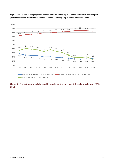

Figures 5 and 6 display the proportion of the workforce on the top step of the salary scale over the past 12 years including the proportion of women and men on the top step over the same time frame.

#### **Figure 5: Proportion of specialists and by gender on the top step of the salary scale from 2006- 2018**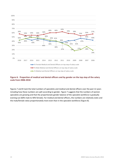

#### **Figure 6: Proportion of medical and dental officers and by gender on the top step of the salary scale from 2006-2018**

Figures 7 and 8 track the total numbers of specialists and medical and dental officers over the past 12 years including how these numbers are split according to gender. Figure 7 suggests that the numbers of women specialists are growing and that the proportionate gender balance of the specialist workforce is gradually evening out (60% male to 40% female). For medical and dental officers, the numbers are relatively static and the male/female ratios proportionately more even than in the specialist workforce (Figure 8).